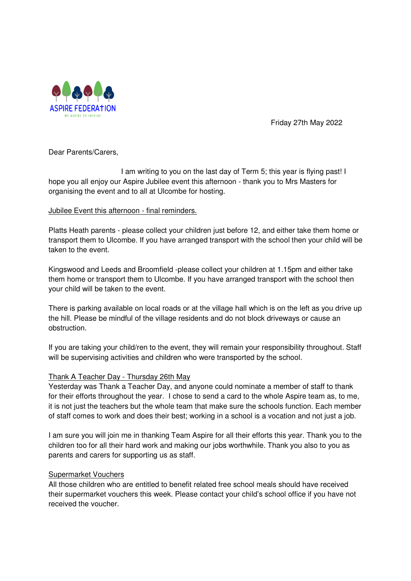

Friday 27th May 2022

Dear Parents/Carers,

 I am writing to you on the last day of Term 5; this year is flying past! I hope you all enjoy our Aspire Jubilee event this afternoon - thank you to Mrs Masters for organising the event and to all at Ulcombe for hosting.

## Jubilee Event this afternoon - final reminders.

Platts Heath parents - please collect your children just before 12, and either take them home or transport them to Ulcombe. If you have arranged transport with the school then your child will be taken to the event.

Kingswood and Leeds and Broomfield -please collect your children at 1.15pm and either take them home or transport them to Ulcombe. If you have arranged transport with the school then your child will be taken to the event.

There is parking available on local roads or at the village hall which is on the left as you drive up the hill. Please be mindful of the village residents and do not block driveways or cause an obstruction.

If you are taking your child/ren to the event, they will remain your responsibility throughout. Staff will be supervising activities and children who were transported by the school.

### Thank A Teacher Day - Thursday 26th May

Yesterday was Thank a Teacher Day, and anyone could nominate a member of staff to thank for their efforts throughout the year. I chose to send a card to the whole Aspire team as, to me, it is not just the teachers but the whole team that make sure the schools function. Each member of staff comes to work and does their best; working in a school is a vocation and not just a job.

I am sure you will join me in thanking Team Aspire for all their efforts this year. Thank you to the children too for all their hard work and making our jobs worthwhile. Thank you also to you as parents and carers for supporting us as staff.

### Supermarket Vouchers

All those children who are entitled to benefit related free school meals should have received their supermarket vouchers this week. Please contact your child's school office if you have not received the voucher.